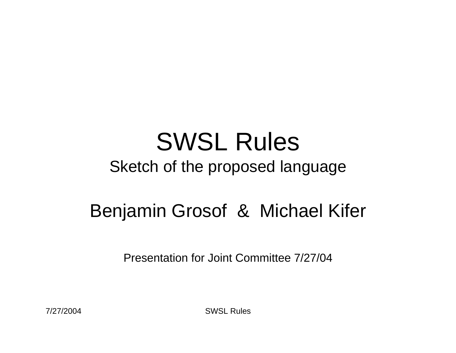#### SWSL Rules Sketch of the proposed language

#### Benjamin Grosof & Michael Kifer

Presentation for Joint Committee 7/27/04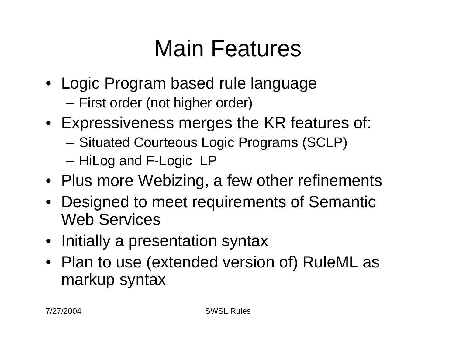## Main Features

- Logic Program based rule language
	- First order (not higher order)
- Expressiveness merges the KR features of:
	- Situated Courteous Logic Programs (SCLP)
	- –HiLog and F-Logic LP
- Plus more Webizing, a few other refinements
- Designed to meet requirements of Semantic Web Services
- Initially a presentation syntax
- Plan to use (extended version of) RuleML as markup syntax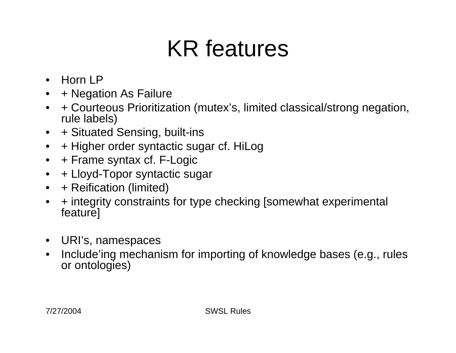## KR features

- Horn LP
- + Negation As Failure
- + Courteous Prioritization (mutex's, limited classical/strong negation, rule labels)
- $\bullet$ + Situated Sensing, built-ins
- + Higher order syntactic sugar cf. HiLog
- + Frame syntax cf. F-Logic
- •+ Lloyd-Topor syntactic sugar
- + Reification (limited)
- $\bullet$  + integrity constraints for type checking [somewhat experimental feature]
- URI's, namespaces
- Include'ing mechanism for importing of knowledge bases (e.g., rules or ontologies)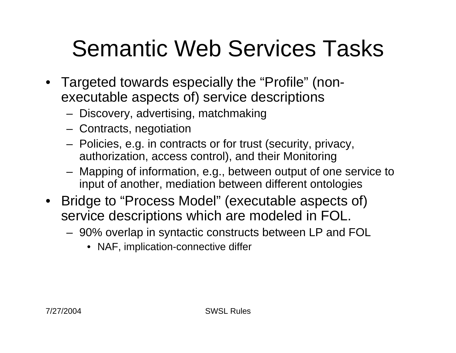## Semantic Web Services Tasks

- Targeted towards especially the "Profile" (nonexecutable aspects of) service descriptions
	- Discovery, advertising, matchmaking
	- Contracts, negotiation
	- Policies, e.g. in contracts or for trust (security, privacy, authorization, access control), and their Monitoring
	- Mapping of information, e.g., between output of one service to input of another, mediation between different ontologies
- Bridge to "Process Model" (executable aspects of) service descriptions which are modeled in FOL.
	- 90% overlap in syntactic constructs between LP and FOL
		- NAF, implication-connective differ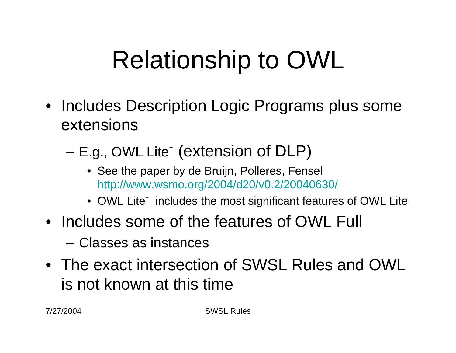# Relationship to OWL

- Includes Description Logic Programs plus some extensions
	- E.g., OWL Lite<sup>-</sup> (extension of DLP)
		- See the paper by de Bruijn, Polleres, Fensel http://www.wsmo.org/2004/d20/v0.2/20040630/
		- OWL Lite - includes the most significant features of OWL Lite
- Includes some of the features of OWL Full
	- Classes as instances
- The exact intersection of SWSL Rules and OWL is not known at this time